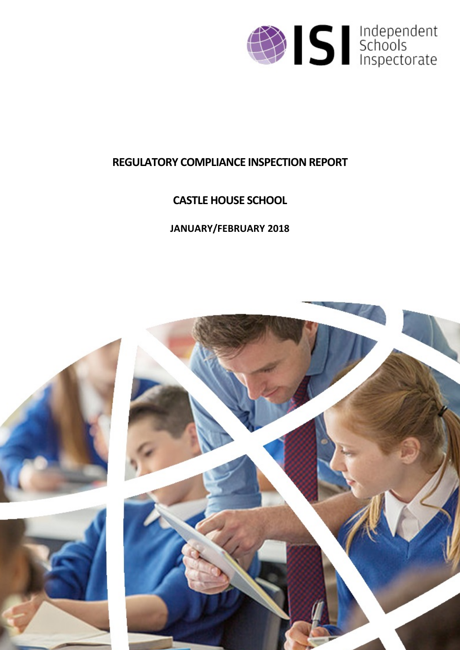

# **REGULATORY COMPLIANCE INSPECTION REPORT**

# **CASTLE HOUSE SCHOOL**

# **JANUARY/FEBRUARY 2018**

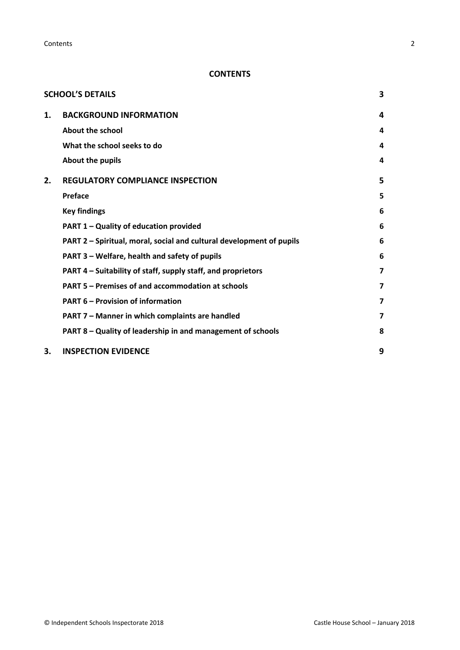**Contents** 2

# **CONTENTS**

|    | <b>SCHOOL'S DETAILS</b>                                              | 3 |
|----|----------------------------------------------------------------------|---|
| 1. | <b>BACKGROUND INFORMATION</b>                                        | 4 |
|    | About the school                                                     | 4 |
|    | What the school seeks to do                                          | 4 |
|    | About the pupils                                                     | 4 |
| 2. | <b>REGULATORY COMPLIANCE INSPECTION</b>                              | 5 |
|    | <b>Preface</b>                                                       | 5 |
|    | <b>Key findings</b>                                                  | 6 |
|    | PART 1 - Quality of education provided                               | 6 |
|    | PART 2 - Spiritual, moral, social and cultural development of pupils | 6 |
|    | PART 3 – Welfare, health and safety of pupils                        | 6 |
|    | PART 4 – Suitability of staff, supply staff, and proprietors         | 7 |
|    | PART 5 - Premises of and accommodation at schools                    | 7 |
|    | <b>PART 6 - Provision of information</b>                             | 7 |
|    | PART 7 - Manner in which complaints are handled                      | 7 |
|    | PART 8 - Quality of leadership in and management of schools          | 8 |
| З. | <b>INSPECTION EVIDENCE</b>                                           | 9 |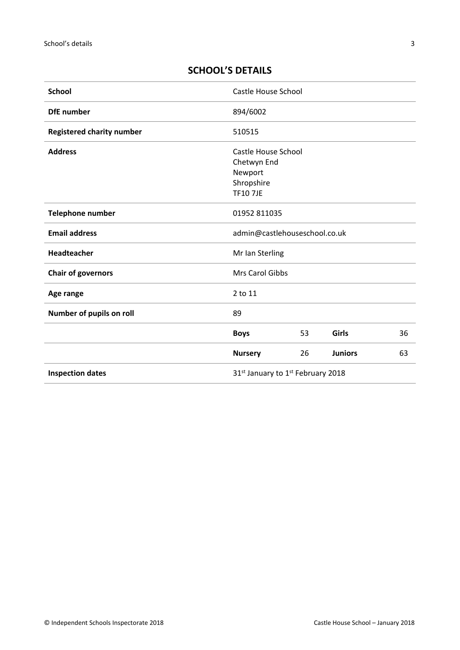# <span id="page-2-0"></span>**SCHOOL'S DETAILS**

| <b>School</b>                    | <b>Castle House School</b>                                                    |    |                |    |
|----------------------------------|-------------------------------------------------------------------------------|----|----------------|----|
| <b>DfE</b> number                | 894/6002                                                                      |    |                |    |
| <b>Registered charity number</b> | 510515                                                                        |    |                |    |
| <b>Address</b>                   | Castle House School<br>Chetwyn End<br>Newport<br>Shropshire<br><b>TF107JE</b> |    |                |    |
| Telephone number                 | 01952 811035                                                                  |    |                |    |
| <b>Email address</b>             | admin@castlehouseschool.co.uk                                                 |    |                |    |
| Headteacher                      | Mr Ian Sterling                                                               |    |                |    |
| <b>Chair of governors</b>        | Mrs Carol Gibbs                                                               |    |                |    |
| Age range                        | 2 to 11                                                                       |    |                |    |
| Number of pupils on roll         | 89                                                                            |    |                |    |
|                                  | <b>Boys</b>                                                                   | 53 | Girls          | 36 |
|                                  | <b>Nursery</b>                                                                | 26 | <b>Juniors</b> | 63 |
| <b>Inspection dates</b>          | 31 <sup>st</sup> January to 1 <sup>st</sup> February 2018                     |    |                |    |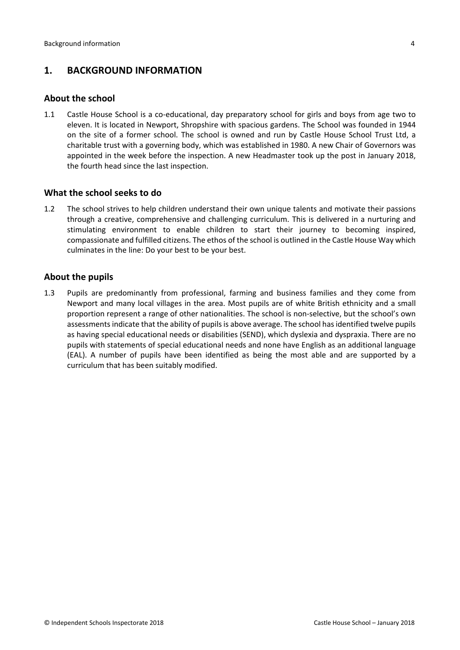# <span id="page-3-0"></span>**1. BACKGROUND INFORMATION**

#### <span id="page-3-1"></span>**About the school**

1.1 Castle House School is a co-educational, day preparatory school for girls and boys from age two to eleven. It is located in Newport, Shropshire with spacious gardens. The School was founded in 1944 on the site of a former school. The school is owned and run by Castle House School Trust Ltd, a charitable trust with a governing body, which was established in 1980. A new Chair of Governors was appointed in the week before the inspection. A new Headmaster took up the post in January 2018, the fourth head since the last inspection.

#### <span id="page-3-2"></span>**What the school seeks to do**

1.2 The school strives to help children understand their own unique talents and motivate their passions through a creative, comprehensive and challenging curriculum. This is delivered in a nurturing and stimulating environment to enable children to start their journey to becoming inspired, compassionate and fulfilled citizens. The ethos of the school is outlined in the Castle House Way which culminates in the line: Do your best to be your best.

#### <span id="page-3-3"></span>**About the pupils**

1.3 Pupils are predominantly from professional, farming and business families and they come from Newport and many local villages in the area. Most pupils are of white British ethnicity and a small proportion represent a range of other nationalities. The school is non-selective, but the school's own assessments indicate that the ability of pupils is above average. The school has identified twelve pupils as having special educational needs or disabilities (SEND), which dyslexia and dyspraxia. There are no pupils with statements of special educational needs and none have English as an additional language (EAL). A number of pupils have been identified as being the most able and are supported by a curriculum that has been suitably modified.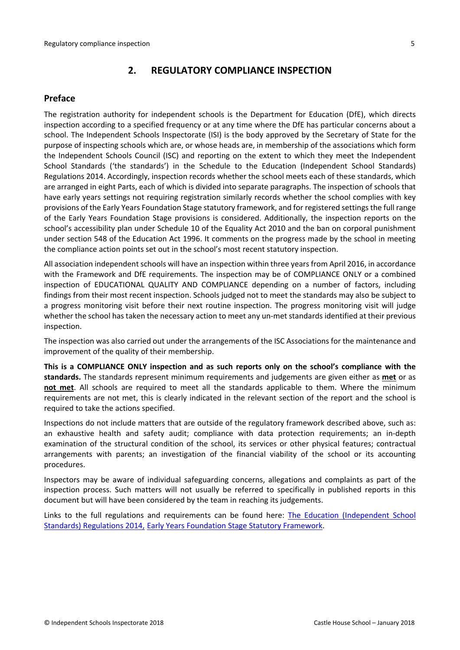# <span id="page-4-0"></span>**2. REGULATORY COMPLIANCE INSPECTION**

## <span id="page-4-1"></span>**Preface**

The registration authority for independent schools is the Department for Education (DfE), which directs inspection according to a specified frequency or at any time where the DfE has particular concerns about a school. The Independent Schools Inspectorate (ISI) is the body approved by the Secretary of State for the purpose of inspecting schools which are, or whose heads are, in membership of the associations which form the Independent Schools Council (ISC) and reporting on the extent to which they meet the Independent School Standards ('the standards') in the Schedule to the Education (Independent School Standards) Regulations 2014. Accordingly, inspection records whether the school meets each of these standards, which are arranged in eight Parts, each of which is divided into separate paragraphs. The inspection of schools that have early years settings not requiring registration similarly records whether the school complies with key provisions of the Early Years Foundation Stage statutory framework, and for registered settings the full range of the Early Years Foundation Stage provisions is considered. Additionally, the inspection reports on the school's accessibility plan under Schedule 10 of the Equality Act 2010 and the ban on corporal punishment under section 548 of the Education Act 1996. It comments on the progress made by the school in meeting the compliance action points set out in the school's most recent statutory inspection.

All association independent schools will have an inspection within three yearsfrom April 2016, in accordance with the Framework and DfE requirements. The inspection may be of COMPLIANCE ONLY or a combined inspection of EDUCATIONAL QUALITY AND COMPLIANCE depending on a number of factors, including findings from their most recent inspection. Schools judged not to meet the standards may also be subject to a progress monitoring visit before their next routine inspection. The progress monitoring visit will judge whether the school has taken the necessary action to meet any un-met standards identified at their previous inspection.

The inspection was also carried out under the arrangements of the ISC Associations for the maintenance and improvement of the quality of their membership.

**This is a COMPLIANCE ONLY inspection and as such reports only on the school's compliance with the standards.** The standards represent minimum requirements and judgements are given either as **met** or as **not met**. All schools are required to meet all the standards applicable to them. Where the minimum requirements are not met, this is clearly indicated in the relevant section of the report and the school is required to take the actions specified.

Inspections do not include matters that are outside of the regulatory framework described above, such as: an exhaustive health and safety audit; compliance with data protection requirements; an in-depth examination of the structural condition of the school, its services or other physical features; contractual arrangements with parents; an investigation of the financial viability of the school or its accounting procedures.

Inspectors may be aware of individual safeguarding concerns, allegations and complaints as part of the inspection process. Such matters will not usually be referred to specifically in published reports in this document but will have been considered by the team in reaching its judgements.

Links to the full regulations and requirements can be found here: The Education [\(Independent](http://www.legislation.gov.uk/uksi/2014/3283/contents/made) School Standards) [Regulations](http://www.legislation.gov.uk/uksi/2014/3283/contents/made) 2014, Early Years Foundation Stage Statutory [Framework.](https://www.gov.uk/government/publications/early-years-foundation-stage-framework--2)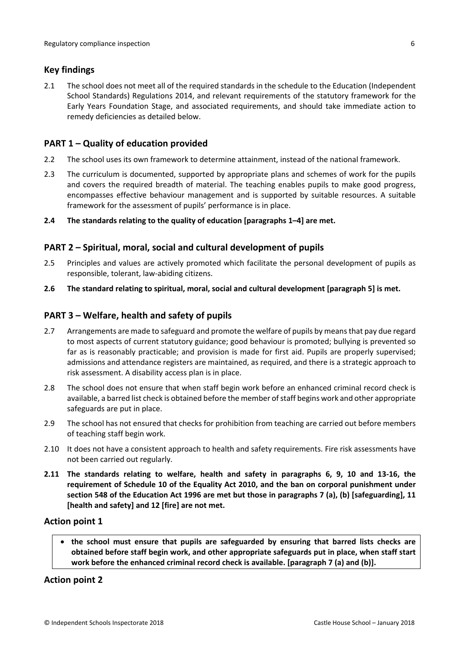## <span id="page-5-0"></span>**Key findings**

2.1 The school does not meet all of the required standards in the schedule to the Education (Independent School Standards) Regulations 2014, and relevant requirements of the statutory framework for the Early Years Foundation Stage, and associated requirements, and should take immediate action to remedy deficiencies as detailed below.

## <span id="page-5-1"></span>**PART 1 – Quality of education provided**

- 2.2 The school uses its own framework to determine attainment, instead of the national framework.
- 2.3 The curriculum is documented, supported by appropriate plans and schemes of work for the pupils and covers the required breadth of material. The teaching enables pupils to make good progress, encompasses effective behaviour management and is supported by suitable resources. A suitable framework for the assessment of pupils' performance is in place.

#### **2.4 The standards relating to the quality of education [paragraphs 1–4] are met.**

## <span id="page-5-2"></span>**PART 2 – Spiritual, moral, social and cultural development of pupils**

- 2.5 Principles and values are actively promoted which facilitate the personal development of pupils as responsible, tolerant, law-abiding citizens.
- **2.6 The standard relating to spiritual, moral, social and cultural development [paragraph 5] is met.**

## <span id="page-5-3"></span>**PART 3 – Welfare, health and safety of pupils**

- 2.7 Arrangements are made to safeguard and promote the welfare of pupils by means that pay due regard to most aspects of current statutory guidance; good behaviour is promoted; bullying is prevented so far as is reasonably practicable; and provision is made for first aid. Pupils are properly supervised; admissions and attendance registers are maintained, as required, and there is a strategic approach to risk assessment. A disability access plan is in place.
- 2.8 The school does not ensure that when staff begin work before an enhanced criminal record check is available, a barred list check is obtained before the member of staff begins work and other appropriate safeguards are put in place.
- 2.9 The school has not ensured that checks for prohibition from teaching are carried out before members of teaching staff begin work.
- 2.10 It does not have a consistent approach to health and safety requirements. Fire risk assessments have not been carried out regularly.
- **2.11 The standards relating to welfare, health and safety in paragraphs 6, 9, 10 and 13-16, the requirement of Schedule 10 of the Equality Act 2010, and the ban on corporal punishment under** section 548 of the Education Act 1996 are met but those in paragraphs 7 (a), (b) [safeguarding], 11 **[health and safety] and 12 [fire] are not met.**

#### **Action point 1**

 **the school must ensure that pupils are safeguarded by ensuring that barred lists checks are obtained before staff begin work, and other appropriate safeguards put in place, when staff start work before the enhanced criminal record check is available. [paragraph 7 (a) and (b)].**

## **Action point 2**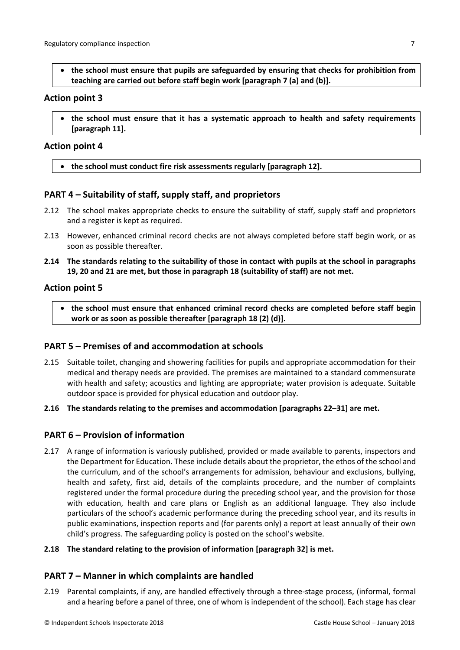**the school must ensure that pupils are safeguarded by ensuring that checks for prohibition from teaching are carried out before staff begin work [paragraph 7 (a) and (b)].**

#### **Action point 3**

 **the school must ensure that it has a systematic approach to health and safety requirements [paragraph 11].**

#### **Action point 4**

**the school must conduct fire risk assessments regularly [paragraph 12].**

## <span id="page-6-0"></span>**PART 4 – Suitability of staff, supply staff, and proprietors**

- 2.12 The school makes appropriate checks to ensure the suitability of staff, supply staff and proprietors and a register is kept as required.
- 2.13 However, enhanced criminal record checks are not always completed before staff begin work, or as soon as possible thereafter.
- 2.14 The standards relating to the suitability of those in contact with pupils at the school in paragraphs **19, 20 and 21 are met, but those in paragraph 18 (suitability of staff) are not met.**

#### **Action point 5**

 **the school must ensure that enhanced criminal record checks are completed before staff begin work or as soon as possible thereafter [paragraph 18 (2) (d)].**

## <span id="page-6-1"></span>**PART 5 – Premises of and accommodation at schools**

- 2.15 Suitable toilet, changing and showering facilities for pupils and appropriate accommodation for their medical and therapy needs are provided. The premises are maintained to a standard commensurate with health and safety; acoustics and lighting are appropriate; water provision is adequate. Suitable outdoor space is provided for physical education and outdoor play.
- **2.16 The standards relating to the premises and accommodation [paragraphs 22–31] are met.**

## <span id="page-6-2"></span>**PART 6 – Provision of information**

2.17 A range of information is variously published, provided or made available to parents, inspectors and the Department for Education. These include details about the proprietor, the ethos of the school and the curriculum, and of the school's arrangements for admission, behaviour and exclusions, bullying, health and safety, first aid, details of the complaints procedure, and the number of complaints registered under the formal procedure during the preceding school year, and the provision for those with education, health and care plans or English as an additional language. They also include particulars of the school's academic performance during the preceding school year, and its results in public examinations, inspection reports and (for parents only) a report at least annually of their own child's progress. The safeguarding policy is posted on the school's website.

#### **2.18 The standard relating to the provision of information [paragraph 32] is met.**

#### <span id="page-6-3"></span>**PART 7 – Manner in which complaints are handled**

2.19 Parental complaints, if any, are handled effectively through a three-stage process, (informal, formal and a hearing before a panel of three, one of whom is independent of the school). Each stage has clear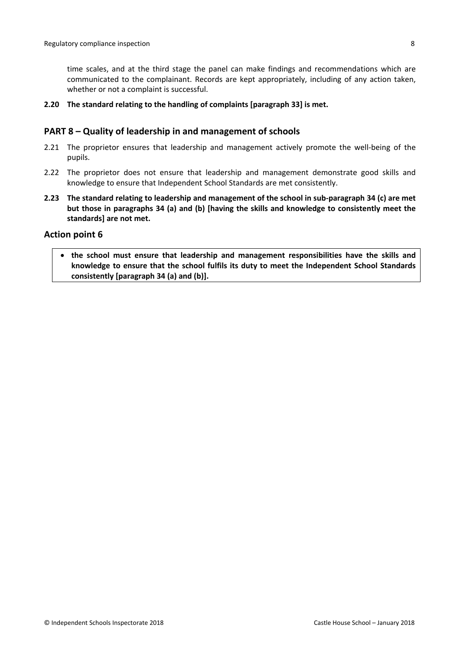time scales, and at the third stage the panel can make findings and recommendations which are communicated to the complainant. Records are kept appropriately, including of any action taken, whether or not a complaint is successful.

**2.20 The standard relating to the handling of complaints [paragraph 33] is met.**

### <span id="page-7-0"></span>**PART 8 – Quality of leadership in and management of schools**

- 2.21 The proprietor ensures that leadership and management actively promote the well-being of the pupils.
- 2.22 The proprietor does not ensure that leadership and management demonstrate good skills and knowledge to ensure that Independent School Standards are met consistently.
- **2.23 The standard relating to leadership and management of the school in sub-paragraph 34 (c) are met but those in paragraphs 34 (a) and (b) [having the skills and knowledge to consistently meet the standards] are not met.**

#### **Action point 6**

 **the school must ensure that leadership and management responsibilities have the skills and knowledge to ensure that the school fulfils its duty to meet the Independent School Standards consistently [paragraph 34 (a) and (b)].**